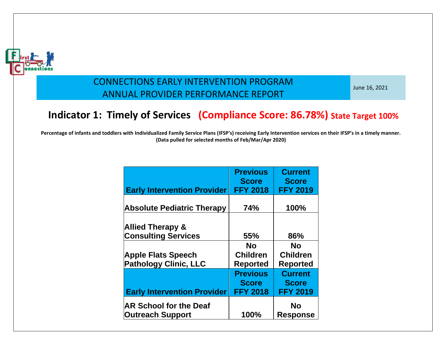

June 16, 2021

# **Indicator 1: Timely of Services (Compliance Score: 86.78%) State Target 100%**

| <b>Early Intervention Provider</b>                        | <b>Previous</b><br><b>Score</b><br><b>FFY 2018</b> | <b>Current</b><br><b>Score</b><br><b>FFY 2019</b> |
|-----------------------------------------------------------|----------------------------------------------------|---------------------------------------------------|
| <b>Absolute Pediatric Therapy</b>                         | 74%                                                | 100%                                              |
| <b>Allied Therapy &amp;</b><br><b>Consulting Services</b> | 55%                                                | 86%                                               |
|                                                           | No                                                 | No                                                |
| <b>Apple Flats Speech</b>                                 | <b>Children</b>                                    | <b>Children</b>                                   |
| <b>Pathology Clinic, LLC</b>                              | <b>Reported</b>                                    | <b>Reported</b>                                   |
| <b>Early Intervention Provider</b>                        | <b>Previous</b><br><b>Score</b><br><b>FFY 2018</b> | <b>Current</b><br><b>Score</b><br><b>FFY 2019</b> |
| <b>AR School for the Deaf</b><br><b>Outreach Support</b>  | 100%                                               | No<br><b>Response</b>                             |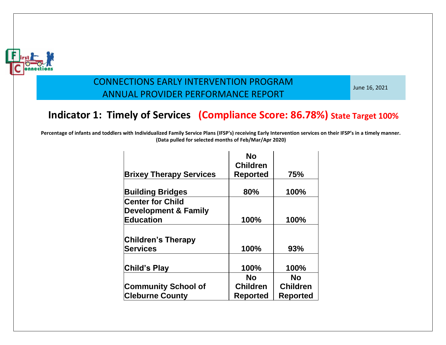

June 16, 2021

# **Indicator 1: Timely of Services (Compliance Score: 86.78%) State Target 100%**

|                                 | <b>No</b>       |                 |
|---------------------------------|-----------------|-----------------|
|                                 | <b>Children</b> |                 |
| <b>Brixey Therapy Services</b>  | <b>Reported</b> | 75%             |
|                                 |                 |                 |
| <b>Building Bridges</b>         | 80%             | 100%            |
| <b>Center for Child</b>         |                 |                 |
| <b>Development &amp; Family</b> |                 |                 |
| <b>Education</b>                | 100%            | 100%            |
|                                 |                 |                 |
| <b>Children's Therapy</b>       |                 |                 |
| <b>Services</b>                 | 100%            | 93%             |
|                                 |                 |                 |
| Child's Play                    | 100%            | 100%            |
|                                 | No              | No              |
| <b>Community School of</b>      | <b>Children</b> | <b>Children</b> |
| <b>Cleburne County</b>          | <b>Reported</b> | <b>Reported</b> |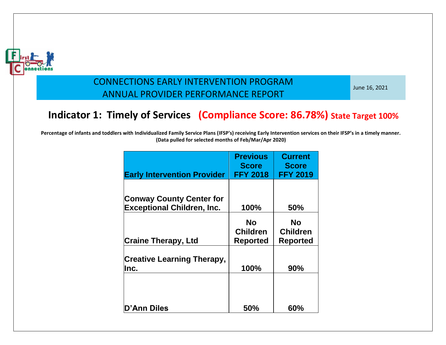

June 16, 2021

# **Indicator 1: Timely of Services (Compliance Score: 86.78%) State Target 100%**

| <b>Early Intervention Provider</b>         | <b>Previous</b><br><b>Score</b><br><b>FFY 2018</b> | <b>Current</b><br><b>Score</b><br><b>FFY 2019</b> |
|--------------------------------------------|----------------------------------------------------|---------------------------------------------------|
|                                            |                                                    |                                                   |
| <b>Conway County Center for</b>            |                                                    |                                                   |
| <b>Exceptional Children, Inc.</b>          | 100%                                               | <b>50%</b>                                        |
| <b>Craine Therapy, Ltd</b>                 | <b>No</b><br><b>Children</b><br><b>Reported</b>    | <b>No</b><br><b>Children</b><br><b>Reported</b>   |
|                                            |                                                    |                                                   |
| <b>Creative Learning Therapy,</b><br>llnc. | 100%                                               | 90%                                               |
| D'Ann Diles                                | 50%                                                | 60%                                               |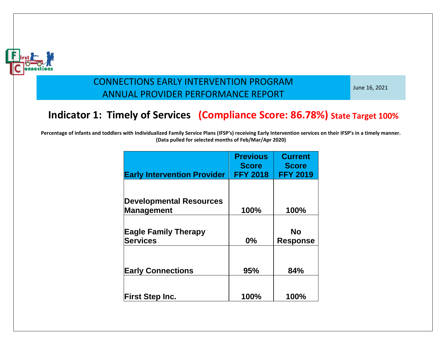

June 16, 2021

# **Indicator 1: Timely of Services (Compliance Score: 86.78%) State Target 100%**

|                                    | <b>Previous</b><br><b>Score</b> | <b>Current</b><br><b>Score</b> |
|------------------------------------|---------------------------------|--------------------------------|
| <b>Early Intervention Provider</b> | <b>FFY 2018</b>                 | <b>FFY 2019</b>                |
|                                    |                                 |                                |
|                                    |                                 |                                |
| <b>Developmental Resources</b>     |                                 |                                |
| Management                         | 100%                            | 100%                           |
|                                    |                                 |                                |
| <b>Eagle Family Therapy</b>        |                                 | No                             |
| <b>Services</b>                    | 0%                              | <b>Response</b>                |
|                                    |                                 |                                |
| <b>Early Connections</b>           | 95%                             | 84%                            |
|                                    |                                 |                                |
|                                    |                                 |                                |
| <b>First Step Inc.</b>             | 100%                            | 100%                           |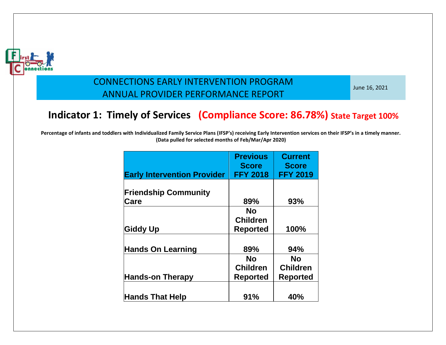

June 16, 2021

# **Indicator 1: Timely of Services (Compliance Score: 86.78%) State Target 100%**

| <b>Early Intervention Provider</b> | <b>Previous</b><br><b>Score</b><br><b>FFY 2018</b> | <b>Current</b><br><b>Score</b><br><b>FFY 2019</b> |
|------------------------------------|----------------------------------------------------|---------------------------------------------------|
|                                    |                                                    |                                                   |
| <b>Friendship Community</b>        |                                                    |                                                   |
| Care                               | 89%                                                | 93%                                               |
|                                    | No                                                 |                                                   |
|                                    | <b>Children</b>                                    |                                                   |
| <b>Giddy Up</b>                    | <b>Reported</b>                                    | 100%                                              |
|                                    |                                                    |                                                   |
| <b>Hands On Learning</b>           | 89%                                                | 94%                                               |
|                                    | No                                                 | No                                                |
|                                    | <b>Children</b>                                    | <b>Children</b>                                   |
| <b>Hands-on Therapy</b>            | <b>Reported</b>                                    | <b>Reported</b>                                   |
|                                    |                                                    |                                                   |
| <b>Hands That Help</b>             | 91%                                                | 40%                                               |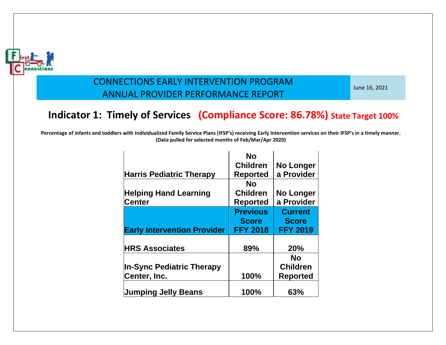

June 16, 2021

# **Indicator 1: Timely of Services (Compliance Score: 86.78%) State Target 100%**

|                                    | <b>No</b>       |                  |
|------------------------------------|-----------------|------------------|
|                                    | <b>Children</b> | <b>No Longer</b> |
| <b>Harris Pediatric Therapy</b>    | <b>Reported</b> | a Provider       |
|                                    | No              |                  |
| <b>Helping Hand Learning</b>       | <b>Children</b> | No Longer        |
| <b>Center</b>                      | <b>Reported</b> | a Provider       |
|                                    | <b>Previous</b> | <b>Current</b>   |
|                                    | <b>Score</b>    | <b>Score</b>     |
|                                    |                 |                  |
| <b>Early Intervention Provider</b> | <b>FFY 2018</b> | <b>FFY 2019</b>  |
|                                    |                 |                  |
| <b>HRS Associates</b>              | 89%             | <b>20%</b>       |
|                                    |                 | <b>No</b>        |
| <b>In-Sync Pediatric Therapy</b>   |                 | <b>Children</b>  |
| Center, Inc.                       | 100%            | <b>Reported</b>  |
| <b>Jumping Jelly Beans</b>         | 100%            | 63%              |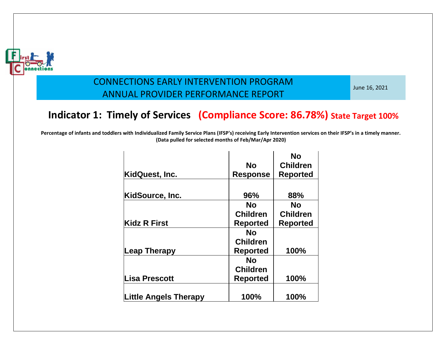

June 16, 2021

# **Indicator 1: Timely of Services (Compliance Score: 86.78%) State Target 100%**

| KidQuest, Inc.               | No<br><b>Response</b> | Nο<br><b>Children</b><br><b>Reported</b> |
|------------------------------|-----------------------|------------------------------------------|
|                              |                       |                                          |
| <b>KidSource, Inc.</b>       | 96%                   | 88%                                      |
|                              | No                    | No                                       |
|                              | <b>Children</b>       | <b>Children</b>                          |
| <b>Kidz R First</b>          | <b>Reported</b>       | <b>Reported</b>                          |
|                              | No                    |                                          |
|                              | <b>Children</b>       |                                          |
| Leap Therapy                 | <b>Reported</b>       | 100%                                     |
|                              | No                    |                                          |
|                              | <b>Children</b>       |                                          |
| Lisa Prescott                | <b>Reported</b>       | 100%                                     |
|                              |                       |                                          |
| <b>Little Angels Therapy</b> | 100%                  | 100%                                     |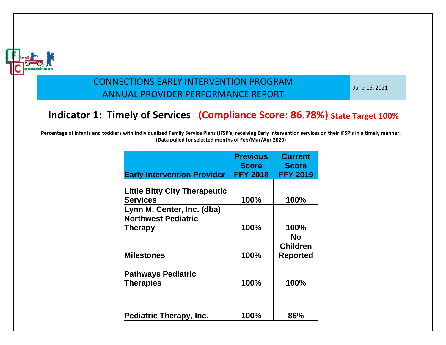

June 16, 2021

# **Indicator 1: Timely of Services (Compliance Score: 86.78%) State Target 100%**

| <b>Early Intervention Provider</b>   | <b>Previous</b><br><b>Score</b><br><b>FFY 2018</b> | <b>Current</b><br><b>Score</b><br><b>FFY 2019</b> |
|--------------------------------------|----------------------------------------------------|---------------------------------------------------|
|                                      |                                                    |                                                   |
| <b>Little Bitty City Therapeutic</b> |                                                    |                                                   |
| <b>Services</b>                      | 100%                                               | 100%                                              |
| Lynn M. Center, Inc. (dba)           |                                                    |                                                   |
| <b>Northwest Pediatric</b>           |                                                    |                                                   |
| Therapy                              | 100%                                               | 100%                                              |
|                                      |                                                    | <b>No</b>                                         |
|                                      |                                                    | <b>Children</b>                                   |
| <b>Milestones</b>                    | 100%                                               | <b>Reported</b>                                   |
| <b>Pathways Pediatric</b>            |                                                    |                                                   |
| Therapies                            | 100%                                               | 100%                                              |
|                                      |                                                    |                                                   |
| <b>Pediatric Therapy, Inc.</b>       | 100%                                               | 86%                                               |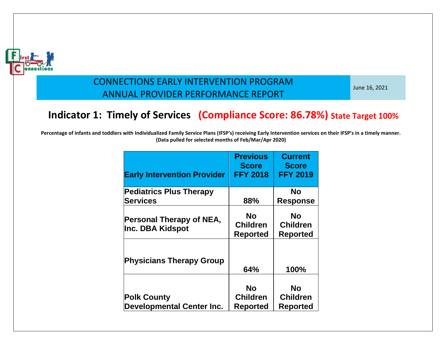

June 16, 2021

# **Indicator 1: Timely of Services (Compliance Score: 86.78%) State Target 100%**

| <b>Early Intervention Provider</b>                     | <b>Previous</b><br><b>Score</b><br><b>FFY 2018</b> | <b>Current</b><br><b>Score</b><br><b>FFY 2019</b> |
|--------------------------------------------------------|----------------------------------------------------|---------------------------------------------------|
| <b>Pediatrics Plus Therapy</b>                         |                                                    | No                                                |
| <b>Services</b>                                        | 88%                                                | <b>Response</b>                                   |
| Personal Therapy of NEA,<br><b>Inc. DBA Kidspot</b>    | <b>No</b><br><b>Children</b><br><b>Reported</b>    | <b>No</b><br><b>Children</b><br><b>Reported</b>   |
| <b>Physicians Therapy Group</b>                        | 64%                                                | 100%                                              |
| <b>Polk County</b><br><b>Developmental Center Inc.</b> | <b>No</b><br><b>Children</b><br><b>Reported</b>    | No<br><b>Children</b><br><b>Reported</b>          |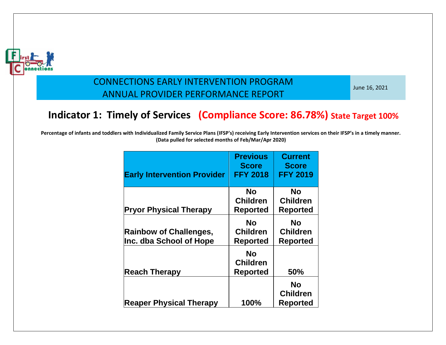

June 16, 2021

# **Indicator 1: Timely of Services (Compliance Score: 86.78%) State Target 100%**

| <b>Early Intervention Provider</b>                       | <b>Previous</b><br><b>Score</b><br><b>FFY 2018</b> | <b>Current</b><br><b>Score</b><br><b>FFY 2019</b> |
|----------------------------------------------------------|----------------------------------------------------|---------------------------------------------------|
| <b>Pryor Physical Therapy</b>                            | No<br><b>Children</b><br><b>Reported</b>           | No<br><b>Children</b><br><b>Reported</b>          |
| <b>Rainbow of Challenges,</b><br>Inc. dba School of Hope | No<br><b>Children</b><br><b>Reported</b>           | <b>No</b><br><b>Children</b><br><b>Reported</b>   |
| <b>Reach Therapy</b>                                     | No<br><b>Children</b><br><b>Reported</b>           | 50%                                               |
| <b>Reaper Physical Therapy</b>                           | 100%                                               | <b>No</b><br><b>Children</b><br><b>Reported</b>   |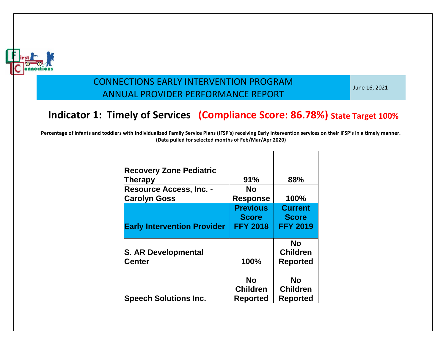

June 16, 2021

# **Indicator 1: Timely of Services (Compliance Score: 86.78%) State Target 100%**

| <b>Recovery Zone Pediatric</b><br><b>Therapy</b><br><b>Resource Access, Inc. -</b><br><b>Carolyn Goss</b> | 91%<br>No<br><b>Response</b>                       | 88%<br>100%                                       |
|-----------------------------------------------------------------------------------------------------------|----------------------------------------------------|---------------------------------------------------|
| <b>Early Intervention Provider</b>                                                                        | <b>Previous</b><br><b>Score</b><br><b>FFY 2018</b> | <b>Current</b><br><b>Score</b><br><b>FFY 2019</b> |
| <b>S. AR Developmental</b><br><b>Center</b>                                                               | 100%                                               | <b>No</b><br><b>Children</b><br><b>Reported</b>   |
| <b>Speech Solutions Inc.</b>                                                                              | No<br><b>Children</b><br>Reported                  | No<br><b>Children</b><br>Reported                 |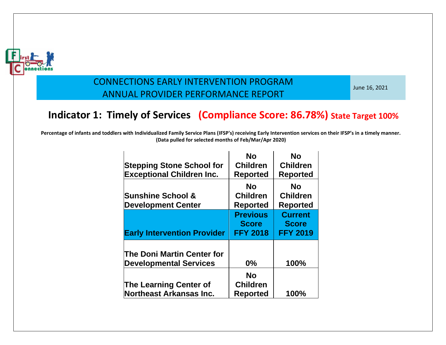

June 16, 2021

# **Indicator 1: Timely of Services (Compliance Score: 86.78%) State Target 100%**

| <b>Stepping Stone School for</b><br><b>Exceptional Children Inc.</b> | <b>No</b><br><b>Children</b><br><b>Reported</b>    | <b>No</b><br><b>Children</b><br><b>Reported</b>   |
|----------------------------------------------------------------------|----------------------------------------------------|---------------------------------------------------|
| <b>Sunshine School &amp;</b><br><b>Development Center</b>            | <b>No</b><br><b>Children</b><br><b>Reported</b>    | <b>No</b><br><b>Children</b><br><b>Reported</b>   |
| <b>Early Intervention Provider</b>                                   | <b>Previous</b><br><b>Score</b><br><b>FFY 2018</b> | <b>Current</b><br><b>Score</b><br><b>FFY 2019</b> |
| The Doni Martin Center for<br><b>Developmental Services</b>          | 0%                                                 | 100%                                              |
| <b>The Learning Center of</b><br><b>Northeast Arkansas Inc.</b>      | <b>No</b><br><b>Children</b><br><b>Reported</b>    | 100%                                              |